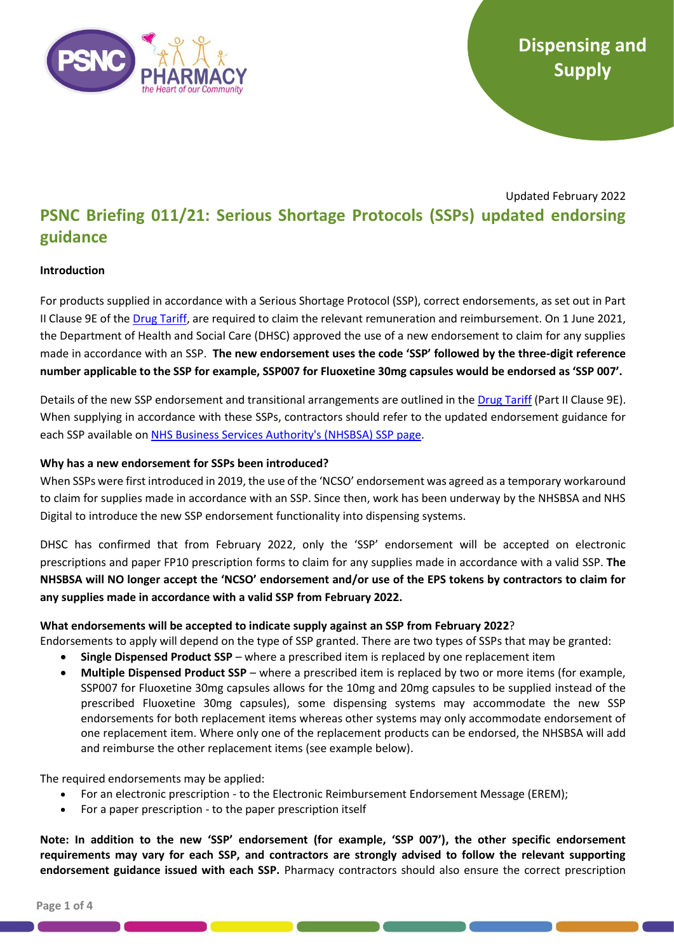

# Updated February 2022 **PSNC Briefing 011/21: Serious Shortage Protocols (SSPs) updated endorsing guidance**

## **Introduction**

For products supplied in accordance with a Serious Shortage Protocol (SSP), correct endorsements, as set out in Part II Clause 9E of the [Drug Tariff,](https://www.nhsbsa.nhs.uk/pharmacies-gp-practices-and-appliance-contractors/drug-tariff) are required to claim the relevant remuneration and reimbursement. On 1 June 2021, the Department of Health and Social Care (DHSC) approved the use of a new endorsement to claim for any supplies made in accordance with an SSP. **The new endorsement uses the code 'SSP' followed by the three-digit reference number applicable to the SSP for example, SSP007 for Fluoxetine 30mg capsules would be endorsed as 'SSP 007'.** 

Details of the new SSP endorsement and transitional arrangements are outlined in the [Drug Tariff](https://www.nhsbsa.nhs.uk/pharmacies-gp-practices-and-appliance-contractors/drug-tariff) (Part II Clause 9E). When supplying in accordance with these SSPs, contractors should refer to the updated endorsement guidance for each SSP available on NHS Business Services Authority's (NHSBSA) SSP page.

## **Why has a new endorsement for SSPs been introduced?**

When SSPs were first introduced in 2019, the use of the 'NCSO' endorsement was agreed as a temporary workaround to claim for supplies made in accordance with an SSP. Since then, work has been underway by the NHSBSA and NHS Digital to introduce the new SSP endorsement functionality into dispensing systems.

DHSC has confirmed that from February 2022, only the 'SSP' endorsement will be accepted on electronic prescriptions and paper FP10 prescription forms to claim for any supplies made in accordance with a valid SSP. **The NHSBSA will NO longer accept the 'NCSO' endorsement and/or use of the EPS tokens by contractors to claim for any supplies made in accordance with a valid SSP from February 2022.**

## **What endorsements will be accepted to indicate supply against an SSP from February 2022**?

Endorsements to apply will depend on the type of SSP granted. There are two types of SSPs that may be granted:

- **Single Dispensed Product SSP** where a prescribed item is replaced by one replacement item
- **Multiple Dispensed Product SSP** where a prescribed item is replaced by two or more items (for example, SSP007 for Fluoxetine 30mg capsules allows for the 10mg and 20mg capsules to be supplied instead of the prescribed Fluoxetine 30mg capsules), some dispensing systems may accommodate the new SSP endorsements for both replacement items whereas other systems may only accommodate endorsement of one replacement item. Where only one of the replacement products can be endorsed, the NHSBSA will add and reimburse the other replacement items (see example below).

The required endorsements may be applied:

- For an electronic prescription to the Electronic Reimbursement Endorsement Message (EREM);
- For a paper prescription to the paper prescription itself

**Note: In addition to the new 'SSP' endorsement (for example, 'SSP 007'), the other specific endorsement requirements may vary for each SSP, and contractors are strongly advised to follow the relevant supporting endorsement guidance issued with each SSP.** Pharmacy contractors should also ensure the correct prescription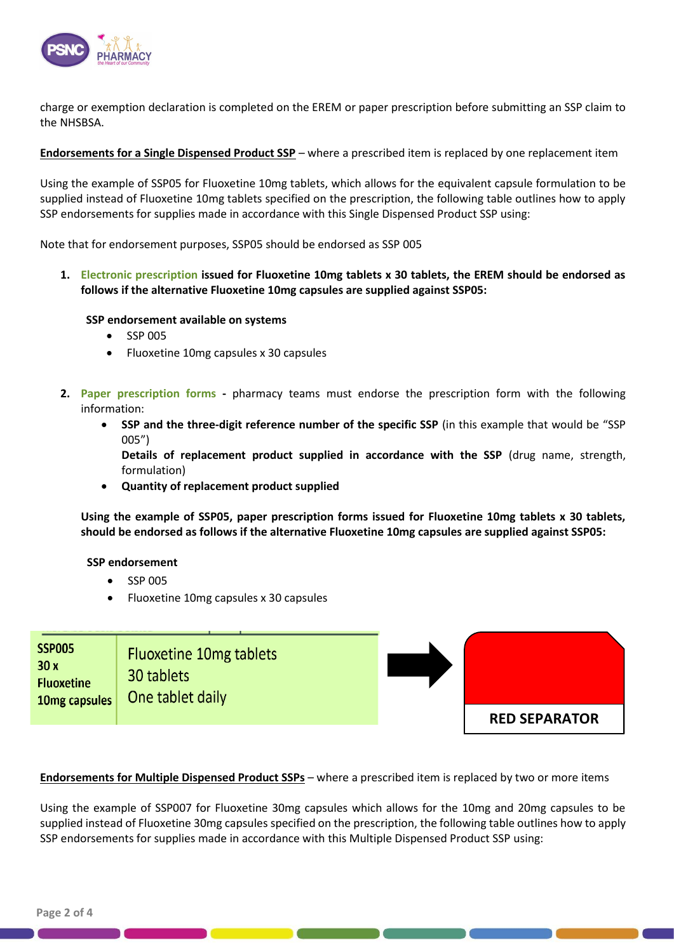

charge or exemption declaration is completed on the EREM or paper prescription before submitting an SSP claim to the NHSBSA.

**Endorsements for a Single Dispensed Product SSP** – where a prescribed item is replaced by one replacement item

Using the example of SSP05 for Fluoxetine 10mg tablets, which allows for the equivalent capsule formulation to be supplied instead of Fluoxetine 10mg tablets specified on the prescription, the following table outlines how to apply SSP endorsements for supplies made in accordance with this Single Dispensed Product SSP using:

Note that for endorsement purposes, SSP05 should be endorsed as SSP 005

**1. Electronic prescription issued for Fluoxetine 10mg tablets x 30 tablets, the EREM should be endorsed as follows if the alternative Fluoxetine 10mg capsules are supplied against SSP05:**

## **SSP endorsement available on systems**

- SSP 005
- Fluoxetine 10mg capsules x 30 capsules
- **2. Paper prescription forms -** pharmacy teams must endorse the prescription form with the following information:
	- **SSP and the three-digit reference number of the specific SSP** (in this example that would be "SSP 005")

**Details of replacement product supplied in accordance with the SSP** (drug name, strength, formulation)

• **Quantity of replacement product supplied** 

**Using the example of SSP05, paper prescription forms issued for Fluoxetine 10mg tablets x 30 tablets, should be endorsed as follows if the alternative Fluoxetine 10mg capsules are supplied against SSP05:** 

### **SSP endorsement**

- SSP 005
- Fluoxetine 10mg capsules x 30 capsules

| <b>SSP005</b><br>30x<br><b>Fluoxetine</b><br>10mg capsules | Fluoxetine 10mg tablets<br>30 tablets<br>One tablet daily |                      |
|------------------------------------------------------------|-----------------------------------------------------------|----------------------|
|                                                            |                                                           | <b>RED SEPARATOR</b> |

**Endorsements for Multiple Dispensed Product SSPs** – where a prescribed item is replaced by two or more items

Using the example of SSP007 for Fluoxetine 30mg capsules which allows for the 10mg and 20mg capsules to be supplied instead of Fluoxetine 30mg capsules specified on the prescription, the following table outlines how to apply SSP endorsements for supplies made in accordance with this Multiple Dispensed Product SSP using: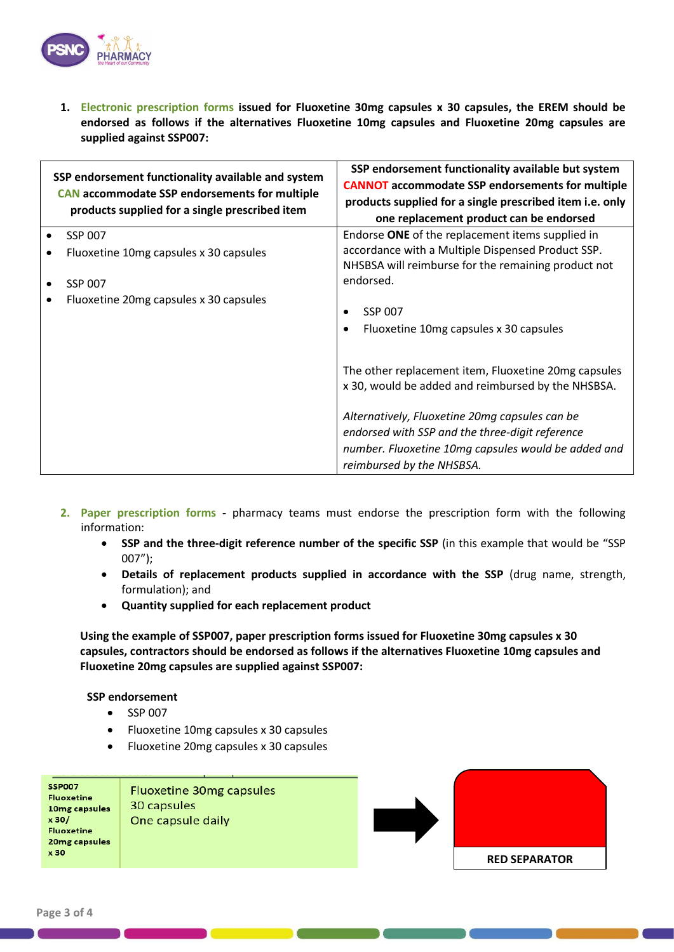

**1. Electronic prescription forms issued for Fluoxetine 30mg capsules x 30 capsules, the EREM should be endorsed as follows if the alternatives Fluoxetine 10mg capsules and Fluoxetine 20mg capsules are supplied against SSP007:**

| SSP endorsement functionality available and system<br><b>CAN</b> accommodate SSP endorsements for multiple<br>products supplied for a single prescribed item | SSP endorsement functionality available but system<br><b>CANNOT</b> accommodate SSP endorsements for multiple<br>products supplied for a single prescribed item i.e. only<br>one replacement product can be endorsed |  |
|--------------------------------------------------------------------------------------------------------------------------------------------------------------|----------------------------------------------------------------------------------------------------------------------------------------------------------------------------------------------------------------------|--|
| SSP 007                                                                                                                                                      | Endorse ONE of the replacement items supplied in                                                                                                                                                                     |  |
| Fluoxetine 10mg capsules x 30 capsules                                                                                                                       | accordance with a Multiple Dispensed Product SSP.<br>NHSBSA will reimburse for the remaining product not                                                                                                             |  |
| <b>SSP 007</b>                                                                                                                                               | endorsed.                                                                                                                                                                                                            |  |
| Fluoxetine 20mg capsules x 30 capsules                                                                                                                       | <b>SSP 007</b><br>$\bullet$<br>Fluoxetine 10mg capsules x 30 capsules<br>$\bullet$                                                                                                                                   |  |
|                                                                                                                                                              | The other replacement item, Fluoxetine 20mg capsules<br>x 30, would be added and reimbursed by the NHSBSA.                                                                                                           |  |
|                                                                                                                                                              | Alternatively, Fluoxetine 20mg capsules can be<br>endorsed with SSP and the three-digit reference<br>number. Fluoxetine 10mg capsules would be added and<br>reimbursed by the NHSBSA.                                |  |

- **2. Paper prescription forms -** pharmacy teams must endorse the prescription form with the following information:
	- **SSP and the three-digit reference number of the specific SSP** (in this example that would be "SSP 007");
	- **Details of replacement products supplied in accordance with the SSP** (drug name, strength, formulation); and
	- **Quantity supplied for each replacement product**

**Using the example of SSP007, paper prescription forms issued for Fluoxetine 30mg capsules x 30 capsules, contractors should be endorsed as follows if the alternatives Fluoxetine 10mg capsules and Fluoxetine 20mg capsules are supplied against SSP007:**

### **SSP endorsement**

- SSP 007
- Fluoxetine 10mg capsules x 30 capsules
- Fluoxetine 20mg capsules x 30 capsules

| <b>SSP007</b>     | <b>Fluoxetine 30mg capsules</b> |
|-------------------|---------------------------------|
| <b>Fluoxetine</b> |                                 |
| 10mg capsules     | 30 capsules                     |
| x30/              | One capsule daily               |
| <b>Fluoxetine</b> |                                 |
| 20mg capsules     |                                 |
| x30               |                                 |
|                   |                                 |